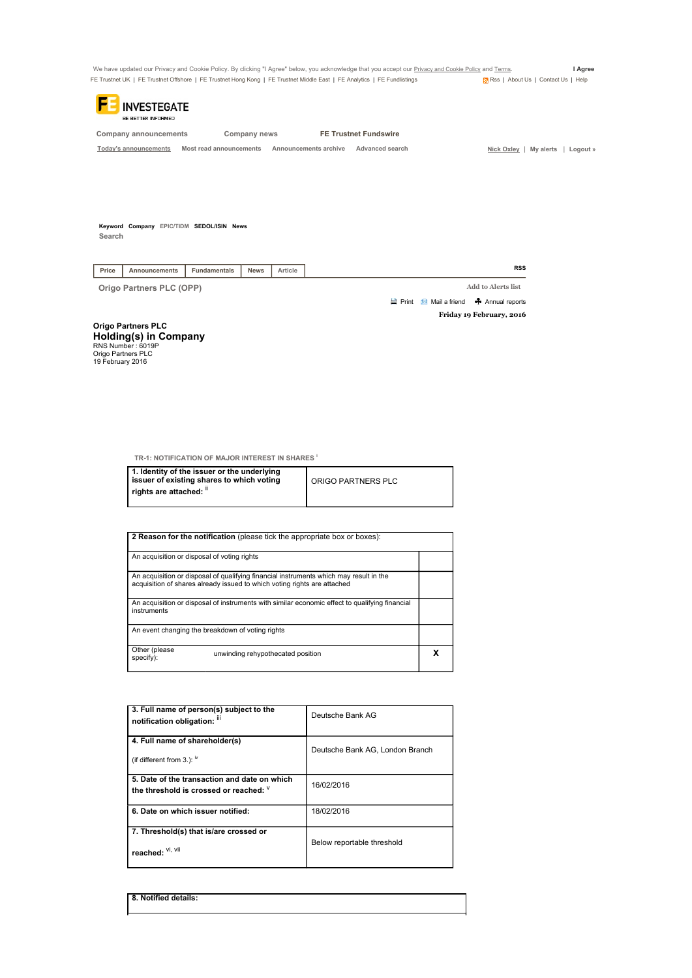We have updated our Privacy and Cookie Policy. By clicking "I Agree" below, you acknowledge that you accept our <u>Privacy and Cookie Policy</u> and <u>Terms</u>. I Agree<br>FE Trustnet UK | FE Trustnet Offshore | FE Trustnet Hong Kong FE Trustnet UK | FE Trustnet Offshore | FE Trustnet Hong Kong | FE Trustnet Middle East | FE Analytics | FE Fundlistings



Company announcements Company news FE Trustnet Fundswire

Today's announcements Most read announcements Announcements archive Advanced search Nick Oxley | My alerts | Logout »

Keyword Company EPIC/TIDM SEDOL/ISIN News **Search** 

| Price<br><b>News</b><br>Func<br>damentals<br>Article |
|------------------------------------------------------|

Origo Partners PLC (OPP) Add to Alerts list

Friday 19 February, 2016 **A** Print **Mail a friend A** Annual reports

Origo Partners PLC **Holding(s) in Company**<br>RNS Number : 6019P<br>Origo Partners PLC<br>19 February 2016

TR-1: NOTIFICATION OF MAJOR INTEREST IN SHARES<sup>1</sup>

| 1. Identity of the issuer or the underlying<br>issuer of existing shares to which voting | ORIGO PARTNERS PLC |
|------------------------------------------------------------------------------------------|--------------------|
| rights are attached: "                                                                   |                    |

| 2 Reason for the notification (please tick the appropriate box or boxes):                                                                                          |  |  |  |  |
|--------------------------------------------------------------------------------------------------------------------------------------------------------------------|--|--|--|--|
| An acquisition or disposal of voting rights                                                                                                                        |  |  |  |  |
| An acquisition or disposal of qualifying financial instruments which may result in the<br>acquisition of shares already issued to which voting rights are attached |  |  |  |  |
| An acquisition or disposal of instruments with similar economic effect to qualifying financial<br>instruments                                                      |  |  |  |  |
| An event changing the breakdown of voting rights                                                                                                                   |  |  |  |  |
| Other (please<br>unwinding rehypothecated position<br>specify):                                                                                                    |  |  |  |  |

| 3. Full name of person(s) subject to the<br>notification obligation: iii                 | Deutsche Bank AG                |
|------------------------------------------------------------------------------------------|---------------------------------|
| 4. Full name of shareholder(s)<br>(if different from 3.): $\frac{iv}{ }$                 | Deutsche Bank AG, London Branch |
| 5. Date of the transaction and date on which<br>the threshold is crossed or reached: $V$ | 16/02/2016                      |
| 6. Date on which issuer notified:                                                        | 18/02/2016                      |
| 7. Threshold(s) that is/are crossed or<br>reached: Vi, Vii                               | Below reportable threshold      |

8. Notified details: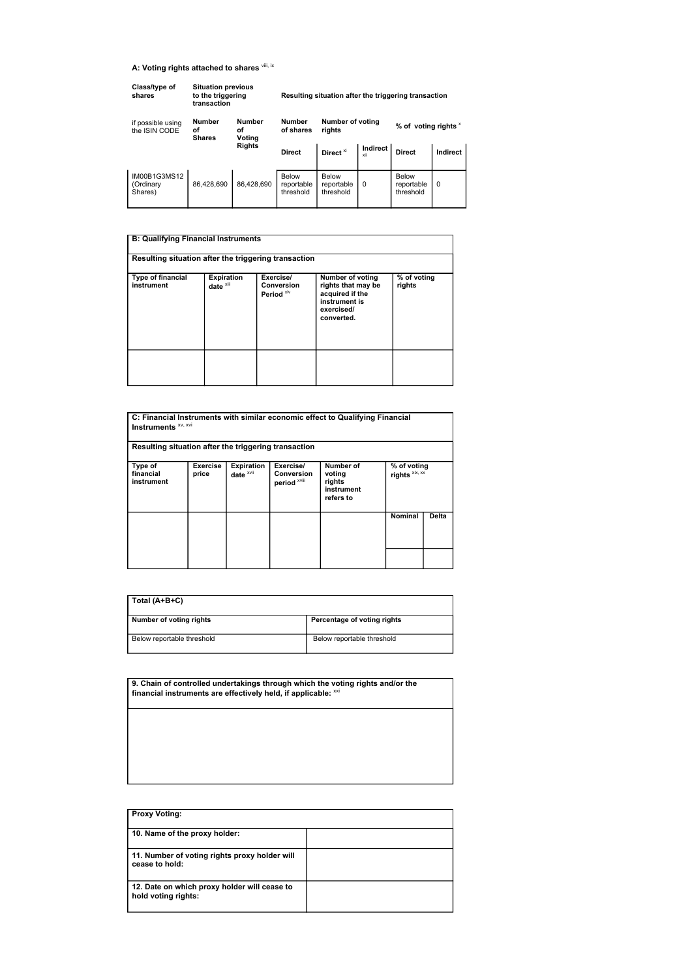## A: Voting rights attached to shares vili, ix

| Class/type of<br>shares              | <b>Situation previous</b><br>to the triggering<br>transaction |                               |                                  |                                                      |                        | Resulting situation after the triggering transaction |          |
|--------------------------------------|---------------------------------------------------------------|-------------------------------|----------------------------------|------------------------------------------------------|------------------------|------------------------------------------------------|----------|
| if possible using<br>the ISIN CODE   | <b>Number</b><br>οf<br><b>Shares</b>                          | <b>Number</b><br>οf<br>Voting | <b>Number</b><br>of shares       | Number of voting<br>% of voting rights $x$<br>rights |                        |                                                      |          |
|                                      | <b>Rights</b>                                                 |                               | <b>Direct</b>                    | Direct <sup>xi</sup>                                 | <b>Indirect</b><br>xii | <b>Direct</b>                                        | Indirect |
| IM00B1G3MS12<br>(Ordinary<br>Shares) | 86.428.690                                                    | 86.428.690                    | Below<br>reportable<br>threshold | Below<br>reportable<br>threshold                     | $\Omega$               | Below<br>reportable<br>threshold                     | $\Omega$ |

## B: Qualifying Financial Instruments Resulting situation after the triggering transaction Type of financial instrument Expiration<br>date <sup>xiii</sup> Exercise/<br>Conversion<br>Period <sup>xiv</sup> Number of voting rights that may be acquired if the instrument is exercised/ converted. % of voting rights

| Instruments <sup>xv, xvi</sup><br>Resulting situation after the triggering transaction |                   |                                |                                         | C: Financial Instruments with similar economic effect to Qualifying Financial |                               |       |
|----------------------------------------------------------------------------------------|-------------------|--------------------------------|-----------------------------------------|-------------------------------------------------------------------------------|-------------------------------|-------|
| Type of<br>financial<br>instrument                                                     | Exercise<br>price | <b>Expiration</b><br>date XVII | Exercise/<br>Conversion<br>period XViii | Number of<br>voting<br>rights<br>instrument<br>refers to                      | % of voting<br>rights xix, xx |       |
|                                                                                        |                   |                                |                                         |                                                                               | Nominal                       | Delta |
|                                                                                        |                   |                                |                                         |                                                                               |                               |       |

| Total (A+B+C)              |                             |
|----------------------------|-----------------------------|
| Number of voting rights    | Percentage of voting rights |
| Below reportable threshold | Below reportable threshold  |

9. Chain of controlled undertakings through which the voting rights and/or the<br>financial instruments are effectively held, if applicable: <sup>xxi</sup>

| <b>Proxy Voting:</b>                                                |  |
|---------------------------------------------------------------------|--|
| 10. Name of the proxy holder:                                       |  |
| 11. Number of voting rights proxy holder will<br>cease to hold:     |  |
| 12. Date on which proxy holder will cease to<br>hold voting rights: |  |